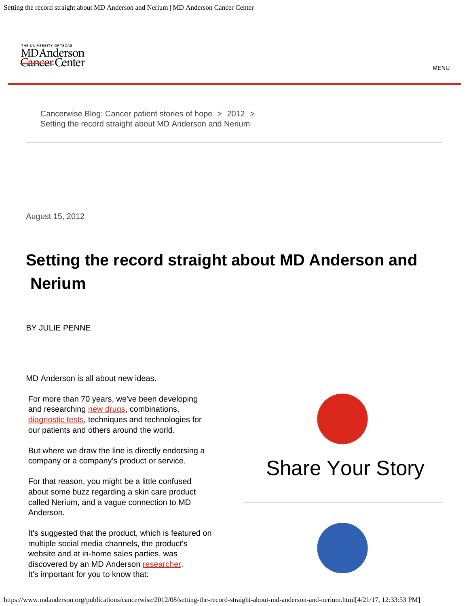<span id="page-0-0"></span>

Setting the record straight about MD Anderson and Nerium [Cancerwise Blog: Cancer patient stories of hope](https://www.mdanderson.org/publications/cancerwise.html) > [2012](https://www.mdanderson.org/publications/cancerwise/2012.html) >

August 15, 2012

## **Setting the record straight about MD Anderson and Nerium**

BY JULIE PENNE

MD Anderson is all about new ideas.

 For more than 70 years, we've been developing and researching [new drugs](https://www.mdanderson.org/patients-family/diagnosis-treatment/clinical-trials.html), combinations, [diagnostic tests](https://www.mdanderson.org/patients-family/diagnosis-treatment/a-new-diagnosis/diagnostic-tests.html), techniques and technologies for our patients and others around the world.

 But where we draw the line is directly endorsing a company or a company's product or service.

 For that reason, you might be a little confused about some buzz regarding a skin care product called Nerium, and a vague connection to MD Anderson.

 It's suggested that the product, which is featured on multiple social media channels, the product's website and at in-home sales parties, was discovered by an MD Anderson [researcher](http://www.mdanderson.org/education-and-research/research-at-md-anderson/index.html). It's important for you to know that:



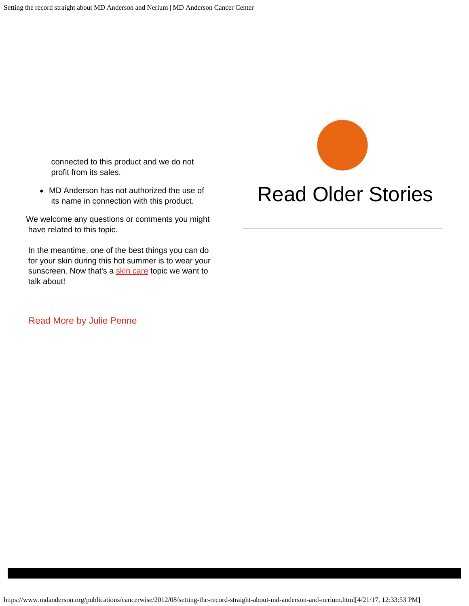connected to this product and we do not profit from its sales.

MD Anderson has not authorized the use of its name in connection with this product.

We welcome any questions or comments you might have related to this topic.

 In the meantime, one of the best things you can do for your skin during this hot summer is to wear your sunscreen. Now that's a [skin care](https://www.mdanderson.org/prevention-screening/get-screened/skin-cancer-screening.html) topic we want to talk about!

 [Read More by Julie Penne](https://www.mdanderson.org/publications/cancerwise.html/author/Julie%20Penne) 

## [Read Older Stories](https://www.mdanderson.org/patients-family/search-results.html?searchType=blog)